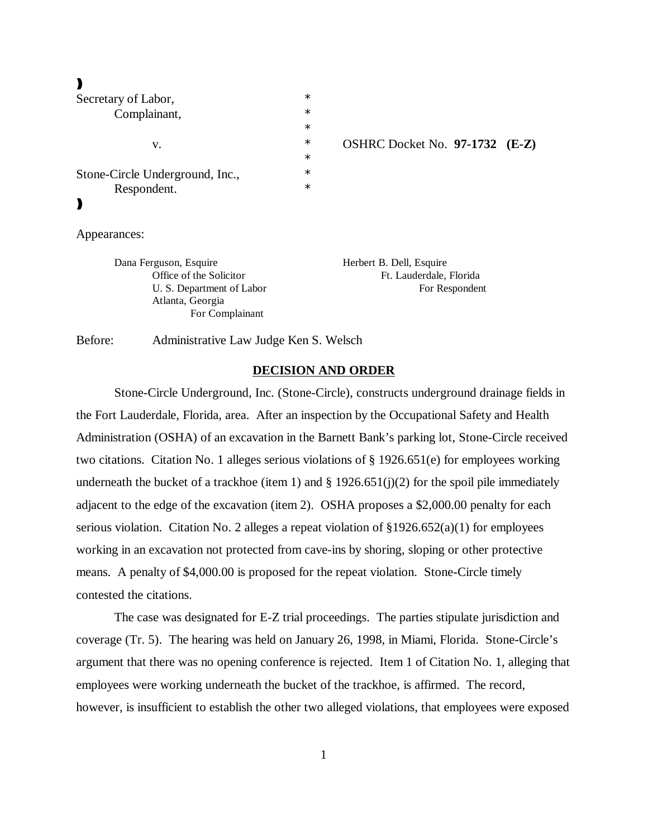# $\blacktriangleright$

| Secretary of Labor,             | $\ast$ |
|---------------------------------|--------|
| Complainant,<br>V.              | $\ast$ |
|                                 | $\ast$ |
|                                 | $\ast$ |
|                                 | $\ast$ |
| Stone-Circle Underground, Inc., | $\ast$ |
| Respondent.                     | $\ast$ |
|                                 |        |
|                                 |        |

v. \* OSHRC Docket No. **97-1732 (E-Z)**

Appearances:

Dana Ferguson, Esquire Herbert B. Dell, Esquire Atlanta, Georgia For Complainant

Office of the Solicitor Ft. Lauderdale, Florida U. S. Department of Labor For Respondent

Before: Administrative Law Judge Ken S. Welsch

### **DECISION AND ORDER**

Stone-Circle Underground, Inc. (Stone-Circle), constructs underground drainage fields in the Fort Lauderdale, Florida, area. After an inspection by the Occupational Safety and Health Administration (OSHA) of an excavation in the Barnett Bank's parking lot, Stone-Circle received two citations. Citation No. 1 alleges serious violations of § 1926.651(e) for employees working underneath the bucket of a trackhoe (item 1) and  $\S 1926.651(j)(2)$  for the spoil pile immediately adjacent to the edge of the excavation (item 2). OSHA proposes a \$2,000.00 penalty for each serious violation. Citation No. 2 alleges a repeat violation of §1926.652(a)(1) for employees working in an excavation not protected from cave-ins by shoring, sloping or other protective means. A penalty of \$4,000.00 is proposed for the repeat violation. Stone-Circle timely contested the citations.

The case was designated for E-Z trial proceedings. The parties stipulate jurisdiction and coverage (Tr. 5). The hearing was held on January 26, 1998, in Miami, Florida. Stone-Circle's argument that there was no opening conference is rejected. Item 1 of Citation No. 1, alleging that employees were working underneath the bucket of the trackhoe, is affirmed. The record, however, is insufficient to establish the other two alleged violations, that employees were exposed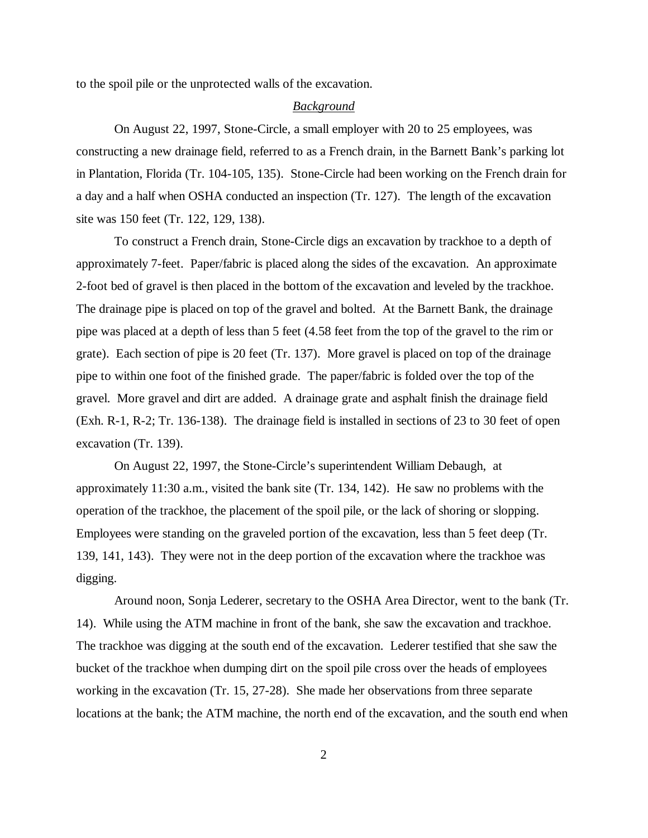to the spoil pile or the unprotected walls of the excavation.

#### *Background*

On August 22, 1997, Stone-Circle, a small employer with 20 to 25 employees, was constructing a new drainage field, referred to as a French drain, in the Barnett Bank's parking lot in Plantation, Florida (Tr. 104-105, 135). Stone-Circle had been working on the French drain for a day and a half when OSHA conducted an inspection (Tr. 127). The length of the excavation site was 150 feet (Tr. 122, 129, 138).

To construct a French drain, Stone-Circle digs an excavation by trackhoe to a depth of approximately 7-feet. Paper/fabric is placed along the sides of the excavation. An approximate 2-foot bed of gravel is then placed in the bottom of the excavation and leveled by the trackhoe. The drainage pipe is placed on top of the gravel and bolted. At the Barnett Bank, the drainage pipe was placed at a depth of less than 5 feet (4.58 feet from the top of the gravel to the rim or grate). Each section of pipe is 20 feet (Tr. 137). More gravel is placed on top of the drainage pipe to within one foot of the finished grade. The paper/fabric is folded over the top of the gravel. More gravel and dirt are added. A drainage grate and asphalt finish the drainage field (Exh. R-1, R-2; Tr. 136-138). The drainage field is installed in sections of 23 to 30 feet of open excavation (Tr. 139).

On August 22, 1997, the Stone-Circle's superintendent William Debaugh, at approximately 11:30 a.m., visited the bank site (Tr. 134, 142). He saw no problems with the operation of the trackhoe, the placement of the spoil pile, or the lack of shoring or slopping. Employees were standing on the graveled portion of the excavation, less than 5 feet deep (Tr. 139, 141, 143). They were not in the deep portion of the excavation where the trackhoe was digging.

Around noon, Sonja Lederer, secretary to the OSHA Area Director, went to the bank (Tr. 14). While using the ATM machine in front of the bank, she saw the excavation and trackhoe. The trackhoe was digging at the south end of the excavation. Lederer testified that she saw the bucket of the trackhoe when dumping dirt on the spoil pile cross over the heads of employees working in the excavation (Tr. 15, 27-28). She made her observations from three separate locations at the bank; the ATM machine, the north end of the excavation, and the south end when

2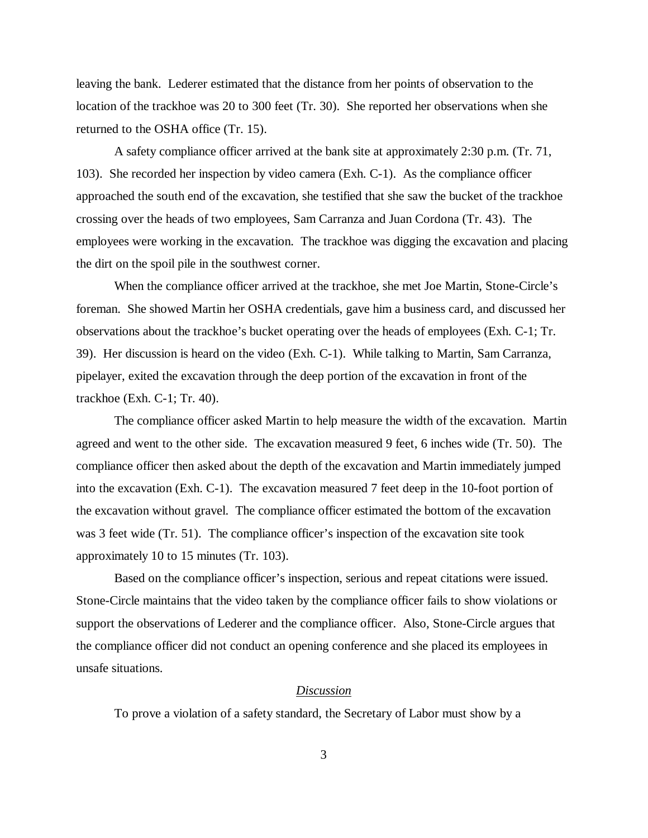leaving the bank. Lederer estimated that the distance from her points of observation to the location of the trackhoe was 20 to 300 feet (Tr. 30). She reported her observations when she returned to the OSHA office (Tr. 15).

A safety compliance officer arrived at the bank site at approximately 2:30 p.m. (Tr. 71, 103). She recorded her inspection by video camera (Exh. C-1). As the compliance officer approached the south end of the excavation, she testified that she saw the bucket of the trackhoe crossing over the heads of two employees, Sam Carranza and Juan Cordona (Tr. 43). The employees were working in the excavation. The trackhoe was digging the excavation and placing the dirt on the spoil pile in the southwest corner.

When the compliance officer arrived at the trackhoe, she met Joe Martin, Stone-Circle's foreman. She showed Martin her OSHA credentials, gave him a business card, and discussed her observations about the trackhoe's bucket operating over the heads of employees (Exh. C-1; Tr. 39). Her discussion is heard on the video (Exh. C-1). While talking to Martin, Sam Carranza, pipelayer, exited the excavation through the deep portion of the excavation in front of the trackhoe (Exh. C-1; Tr. 40).

The compliance officer asked Martin to help measure the width of the excavation. Martin agreed and went to the other side. The excavation measured 9 feet, 6 inches wide (Tr. 50). The compliance officer then asked about the depth of the excavation and Martin immediately jumped into the excavation (Exh. C-1). The excavation measured 7 feet deep in the 10-foot portion of the excavation without gravel. The compliance officer estimated the bottom of the excavation was 3 feet wide (Tr. 51). The compliance officer's inspection of the excavation site took approximately 10 to 15 minutes (Tr. 103).

Based on the compliance officer's inspection, serious and repeat citations were issued. Stone-Circle maintains that the video taken by the compliance officer fails to show violations or support the observations of Lederer and the compliance officer. Also, Stone-Circle argues that the compliance officer did not conduct an opening conference and she placed its employees in unsafe situations.

#### *Discussion*

To prove a violation of a safety standard, the Secretary of Labor must show by a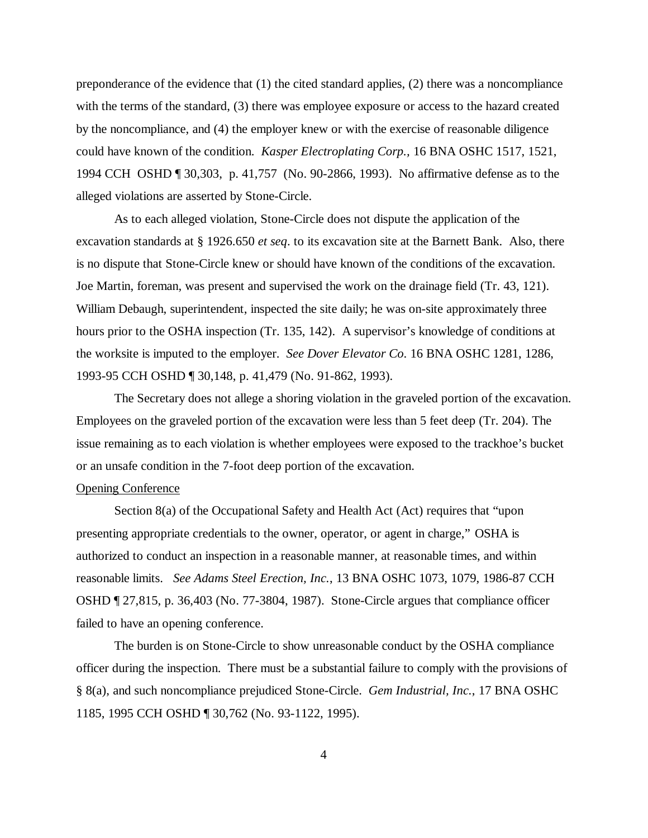preponderance of the evidence that (1) the cited standard applies, (2) there was a noncompliance with the terms of the standard, (3) there was employee exposure or access to the hazard created by the noncompliance, and (4) the employer knew or with the exercise of reasonable diligence could have known of the condition. *Kasper Electroplating Corp.,* 16 BNA OSHC 1517, 1521, 1994 CCH OSHD ¶ 30,303, p. 41,757 (No. 90-2866, 1993). No affirmative defense as to the alleged violations are asserted by Stone-Circle.

As to each alleged violation, Stone-Circle does not dispute the application of the excavation standards at § 1926.650 *et seq*. to its excavation site at the Barnett Bank. Also, there is no dispute that Stone-Circle knew or should have known of the conditions of the excavation. Joe Martin, foreman, was present and supervised the work on the drainage field (Tr. 43, 121). William Debaugh, superintendent, inspected the site daily; he was on-site approximately three hours prior to the OSHA inspection (Tr. 135, 142). A supervisor's knowledge of conditions at the worksite is imputed to the employer. *See Dover Elevator Co*. 16 BNA OSHC 1281, 1286, 1993-95 CCH OSHD ¶ 30,148, p. 41,479 (No. 91-862, 1993).

The Secretary does not allege a shoring violation in the graveled portion of the excavation. Employees on the graveled portion of the excavation were less than 5 feet deep (Tr. 204). The issue remaining as to each violation is whether employees were exposed to the trackhoe's bucket or an unsafe condition in the 7-foot deep portion of the excavation.

## Opening Conference

Section 8(a) of the Occupational Safety and Health Act (Act) requires that "upon presenting appropriate credentials to the owner, operator, or agent in charge," OSHA is authorized to conduct an inspection in a reasonable manner, at reasonable times, and within reasonable limits. *See Adams Steel Erection, Inc.*, 13 BNA OSHC 1073, 1079, 1986-87 CCH OSHD ¶ 27,815, p. 36,403 (No. 77-3804, 1987). Stone-Circle argues that compliance officer failed to have an opening conference.

The burden is on Stone-Circle to show unreasonable conduct by the OSHA compliance officer during the inspection. There must be a substantial failure to comply with the provisions of § 8(a), and such noncompliance prejudiced Stone-Circle. *Gem Industrial, Inc.*, 17 BNA OSHC 1185, 1995 CCH OSHD ¶ 30,762 (No. 93-1122, 1995).

4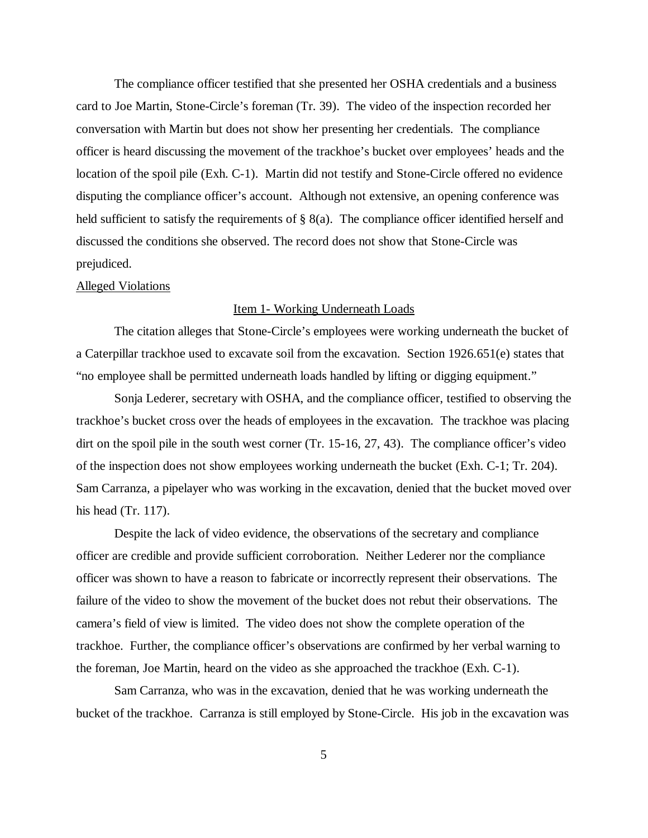The compliance officer testified that she presented her OSHA credentials and a business card to Joe Martin, Stone-Circle's foreman (Tr. 39). The video of the inspection recorded her conversation with Martin but does not show her presenting her credentials. The compliance officer is heard discussing the movement of the trackhoe's bucket over employees' heads and the location of the spoil pile (Exh. C-1). Martin did not testify and Stone-Circle offered no evidence disputing the compliance officer's account. Although not extensive, an opening conference was held sufficient to satisfy the requirements of § 8(a). The compliance officer identified herself and discussed the conditions she observed. The record does not show that Stone-Circle was prejudiced.

#### Alleged Violations

### Item 1- Working Underneath Loads

The citation alleges that Stone-Circle's employees were working underneath the bucket of a Caterpillar trackhoe used to excavate soil from the excavation. Section 1926.651(e) states that "no employee shall be permitted underneath loads handled by lifting or digging equipment."

Sonja Lederer, secretary with OSHA, and the compliance officer, testified to observing the trackhoe's bucket cross over the heads of employees in the excavation. The trackhoe was placing dirt on the spoil pile in the south west corner (Tr. 15-16, 27, 43). The compliance officer's video of the inspection does not show employees working underneath the bucket (Exh. C-1; Tr. 204). Sam Carranza, a pipelayer who was working in the excavation, denied that the bucket moved over his head (Tr. 117).

Despite the lack of video evidence, the observations of the secretary and compliance officer are credible and provide sufficient corroboration. Neither Lederer nor the compliance officer was shown to have a reason to fabricate or incorrectly represent their observations. The failure of the video to show the movement of the bucket does not rebut their observations. The camera's field of view is limited. The video does not show the complete operation of the trackhoe. Further, the compliance officer's observations are confirmed by her verbal warning to the foreman, Joe Martin, heard on the video as she approached the trackhoe (Exh. C-1).

Sam Carranza, who was in the excavation, denied that he was working underneath the bucket of the trackhoe. Carranza is still employed by Stone-Circle. His job in the excavation was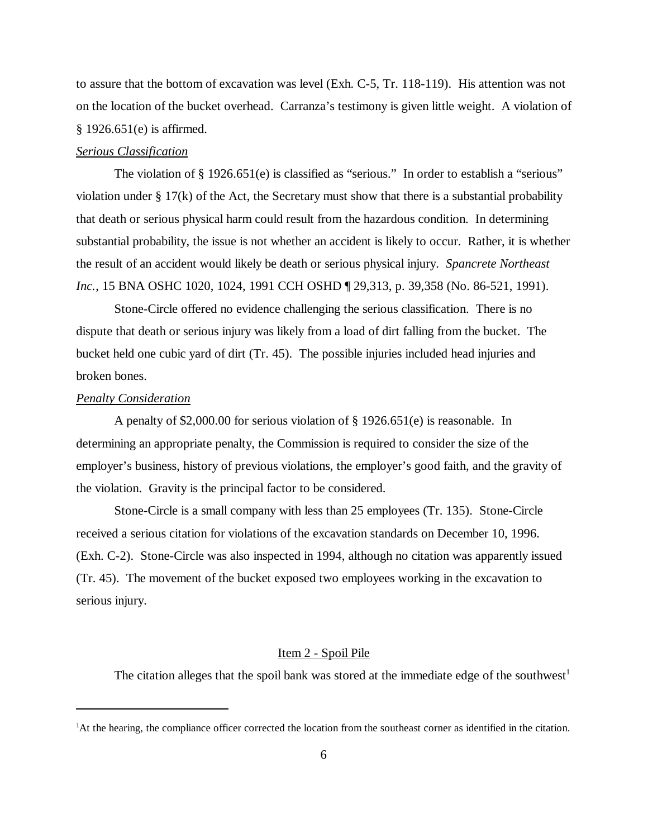to assure that the bottom of excavation was level (Exh. C-5, Tr. 118-119). His attention was not on the location of the bucket overhead. Carranza's testimony is given little weight. A violation of § 1926.651(e) is affirmed.

### *Serious Classification*

The violation of § 1926.651(e) is classified as "serious." In order to establish a "serious" violation under  $\S 17(k)$  of the Act, the Secretary must show that there is a substantial probability that death or serious physical harm could result from the hazardous condition. In determining substantial probability, the issue is not whether an accident is likely to occur. Rather, it is whether the result of an accident would likely be death or serious physical injury. *Spancrete Northeast Inc.*, 15 BNA OSHC 1020, 1024, 1991 CCH OSHD ¶ 29,313, p. 39,358 (No. 86-521, 1991).

Stone-Circle offered no evidence challenging the serious classification. There is no dispute that death or serious injury was likely from a load of dirt falling from the bucket. The bucket held one cubic yard of dirt (Tr. 45). The possible injuries included head injuries and broken bones.

#### *Penalty Consideration*

A penalty of \$2,000.00 for serious violation of  $\S 1926.651(e)$  is reasonable. In determining an appropriate penalty, the Commission is required to consider the size of the employer's business, history of previous violations, the employer's good faith, and the gravity of the violation. Gravity is the principal factor to be considered.

Stone-Circle is a small company with less than 25 employees (Tr. 135). Stone-Circle received a serious citation for violations of the excavation standards on December 10, 1996. (Exh. C-2). Stone-Circle was also inspected in 1994, although no citation was apparently issued (Tr. 45). The movement of the bucket exposed two employees working in the excavation to serious injury.

# Item 2 - Spoil Pile

The citation alleges that the spoil bank was stored at the immediate edge of the southwest<sup>1</sup>

<sup>&</sup>lt;sup>1</sup>At the hearing, the compliance officer corrected the location from the southeast corner as identified in the citation.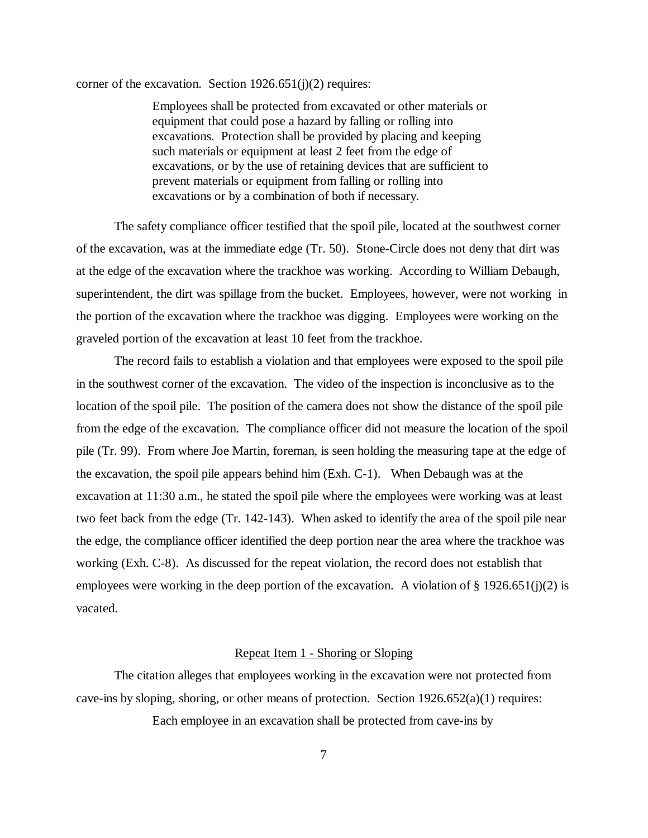corner of the excavation. Section  $1926.651(j)(2)$  requires:

Employees shall be protected from excavated or other materials or equipment that could pose a hazard by falling or rolling into excavations. Protection shall be provided by placing and keeping such materials or equipment at least 2 feet from the edge of excavations, or by the use of retaining devices that are sufficient to prevent materials or equipment from falling or rolling into excavations or by a combination of both if necessary.

The safety compliance officer testified that the spoil pile, located at the southwest corner of the excavation, was at the immediate edge (Tr. 50). Stone-Circle does not deny that dirt was at the edge of the excavation where the trackhoe was working. According to William Debaugh, superintendent, the dirt was spillage from the bucket. Employees, however, were not working in the portion of the excavation where the trackhoe was digging. Employees were working on the graveled portion of the excavation at least 10 feet from the trackhoe.

The record fails to establish a violation and that employees were exposed to the spoil pile in the southwest corner of the excavation. The video of the inspection is inconclusive as to the location of the spoil pile. The position of the camera does not show the distance of the spoil pile from the edge of the excavation. The compliance officer did not measure the location of the spoil pile (Tr. 99). From where Joe Martin, foreman, is seen holding the measuring tape at the edge of the excavation, the spoil pile appears behind him (Exh. C-1). When Debaugh was at the excavation at 11:30 a.m., he stated the spoil pile where the employees were working was at least two feet back from the edge (Tr. 142-143). When asked to identify the area of the spoil pile near the edge, the compliance officer identified the deep portion near the area where the trackhoe was working (Exh. C-8). As discussed for the repeat violation, the record does not establish that employees were working in the deep portion of the excavation. A violation of  $\S 1926.651(j)(2)$  is vacated.

#### Repeat Item 1 - Shoring or Sloping

The citation alleges that employees working in the excavation were not protected from cave-ins by sloping, shoring, or other means of protection. Section 1926.652(a)(1) requires: Each employee in an excavation shall be protected from cave-ins by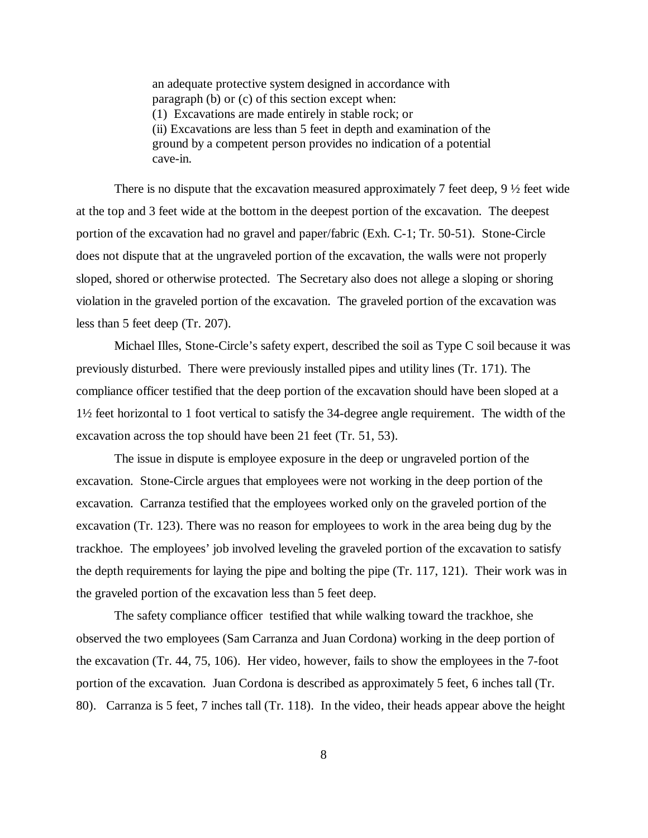an adequate protective system designed in accordance with paragraph (b) or (c) of this section except when: (1) Excavations are made entirely in stable rock; or (ii) Excavations are less than 5 feet in depth and examination of the ground by a competent person provides no indication of a potential cave-in.

There is no dispute that the excavation measured approximately 7 feet deep,  $9\frac{1}{2}$  feet wide at the top and 3 feet wide at the bottom in the deepest portion of the excavation. The deepest portion of the excavation had no gravel and paper/fabric (Exh. C-1; Tr. 50-51). Stone-Circle does not dispute that at the ungraveled portion of the excavation, the walls were not properly sloped, shored or otherwise protected. The Secretary also does not allege a sloping or shoring violation in the graveled portion of the excavation. The graveled portion of the excavation was less than 5 feet deep (Tr. 207).

Michael Illes, Stone-Circle's safety expert, described the soil as Type C soil because it was previously disturbed. There were previously installed pipes and utility lines (Tr. 171). The compliance officer testified that the deep portion of the excavation should have been sloped at a 1½ feet horizontal to 1 foot vertical to satisfy the 34-degree angle requirement. The width of the excavation across the top should have been 21 feet (Tr. 51, 53).

The issue in dispute is employee exposure in the deep or ungraveled portion of the excavation. Stone-Circle argues that employees were not working in the deep portion of the excavation. Carranza testified that the employees worked only on the graveled portion of the excavation (Tr. 123). There was no reason for employees to work in the area being dug by the trackhoe. The employees' job involved leveling the graveled portion of the excavation to satisfy the depth requirements for laying the pipe and bolting the pipe (Tr. 117, 121). Their work was in the graveled portion of the excavation less than 5 feet deep.

The safety compliance officer testified that while walking toward the trackhoe, she observed the two employees (Sam Carranza and Juan Cordona) working in the deep portion of the excavation (Tr. 44, 75, 106). Her video, however, fails to show the employees in the 7-foot portion of the excavation. Juan Cordona is described as approximately 5 feet, 6 inches tall (Tr. 80). Carranza is 5 feet, 7 inches tall (Tr. 118). In the video, their heads appear above the height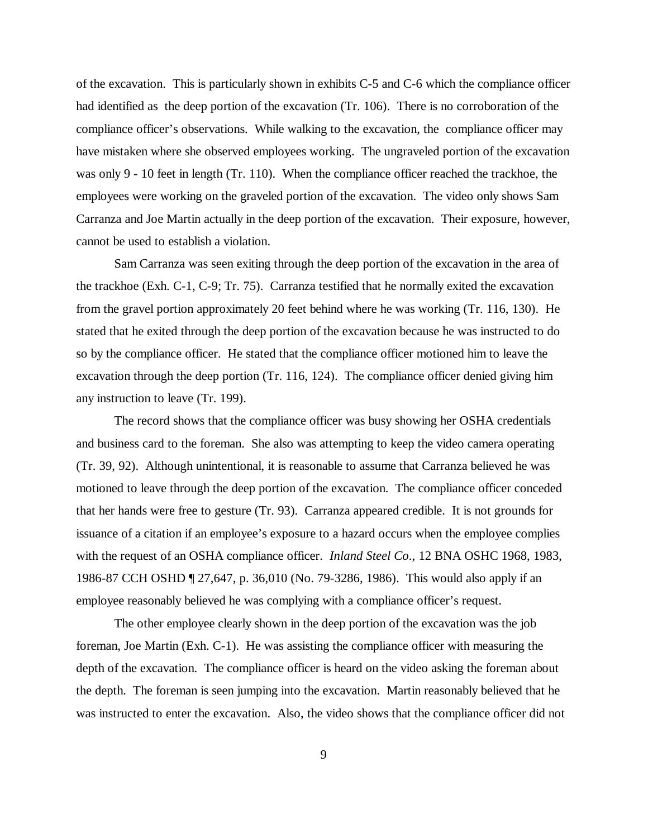of the excavation. This is particularly shown in exhibits C-5 and C-6 which the compliance officer had identified as the deep portion of the excavation (Tr. 106). There is no corroboration of the compliance officer's observations. While walking to the excavation, the compliance officer may have mistaken where she observed employees working. The ungraveled portion of the excavation was only 9 - 10 feet in length (Tr. 110). When the compliance officer reached the trackhoe, the employees were working on the graveled portion of the excavation. The video only shows Sam Carranza and Joe Martin actually in the deep portion of the excavation. Their exposure, however, cannot be used to establish a violation.

Sam Carranza was seen exiting through the deep portion of the excavation in the area of the trackhoe (Exh. C-1, C-9; Tr. 75). Carranza testified that he normally exited the excavation from the gravel portion approximately 20 feet behind where he was working (Tr. 116, 130). He stated that he exited through the deep portion of the excavation because he was instructed to do so by the compliance officer. He stated that the compliance officer motioned him to leave the excavation through the deep portion (Tr. 116, 124). The compliance officer denied giving him any instruction to leave (Tr. 199).

The record shows that the compliance officer was busy showing her OSHA credentials and business card to the foreman. She also was attempting to keep the video camera operating (Tr. 39, 92). Although unintentional, it is reasonable to assume that Carranza believed he was motioned to leave through the deep portion of the excavation. The compliance officer conceded that her hands were free to gesture (Tr. 93). Carranza appeared credible. It is not grounds for issuance of a citation if an employee's exposure to a hazard occurs when the employee complies with the request of an OSHA compliance officer. *Inland Steel Co*., 12 BNA OSHC 1968, 1983, 1986-87 CCH OSHD ¶ 27,647, p. 36,010 (No. 79-3286, 1986). This would also apply if an employee reasonably believed he was complying with a compliance officer's request.

The other employee clearly shown in the deep portion of the excavation was the job foreman, Joe Martin (Exh. C-1). He was assisting the compliance officer with measuring the depth of the excavation. The compliance officer is heard on the video asking the foreman about the depth. The foreman is seen jumping into the excavation. Martin reasonably believed that he was instructed to enter the excavation. Also, the video shows that the compliance officer did not